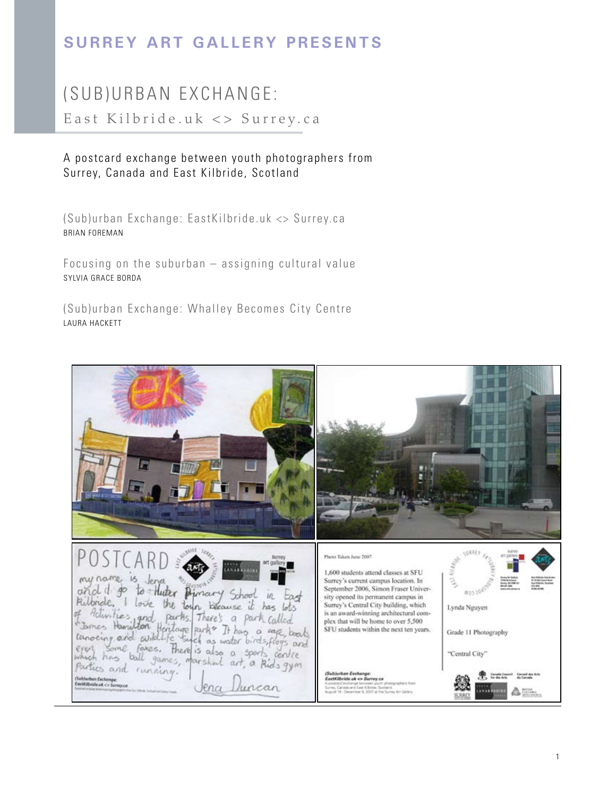# **Surrey Art Gallery Presents**

# (SUB) URBAN EXCHANGE:

East Kilbride.uk <> Surrey.ca

# A postcard exchange between youth photographers from Surrey, Canada and East Kilbride, Scotland

Brian Foreman (Sub)urban Exchange: EastKilbride.uk <> Surrey.ca

Focusing on the suburban – assigning cultural value Sylvia Grace Borda

(Sub)urban Exchange: Whalley Becomes City Centre Laura Hackett

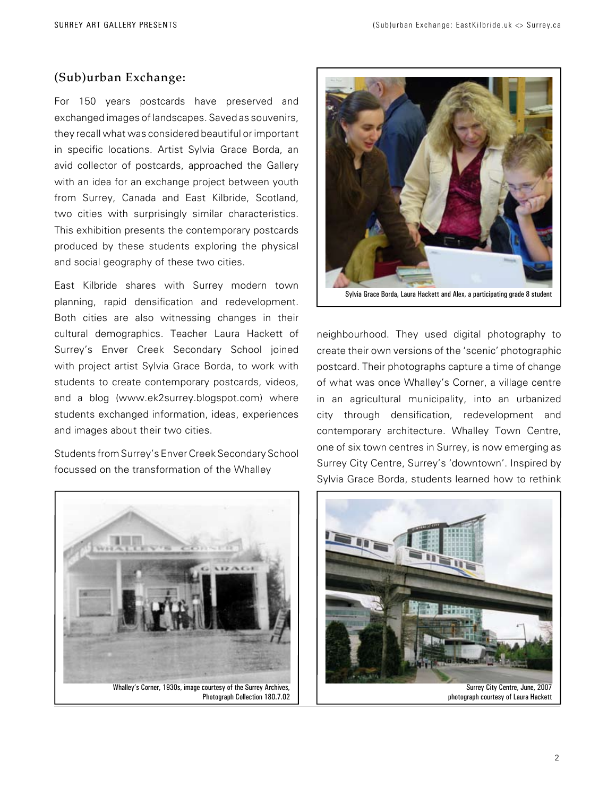# (Sub)urban Exchange:

For 150 years postcards have preserved and exchanged images of landscapes. Saved as souvenirs, they recall what was considered beautiful or important in specific locations. Artist Sylvia Grace Borda, an avid collector of postcards, approached the Gallery with an idea for an exchange project between youth from Surrey, Canada and East Kilbride, Scotland, two cities with surprisingly similar characteristics. This exhibition presents the contemporary postcards produced by these students exploring the physical and social geography of these two cities.

East Kilbride shares with Surrey modern town planning, rapid densification and redevelopment. Both cities are also witnessing changes in their cultural demographics. Teacher Laura Hackett of Surrey's Enver Creek Secondary School joined with project artist Sylvia Grace Borda, to work with students to create contemporary postcards, videos, and a blog (www.ek2surrey.blogspot.com) where students exchanged information, ideas, experiences and images about their two cities.

Students from Surrey's Enver Creek Secondary School focussed on the transformation of the Whalley



Photograph Collection 180.7.02



neighbourhood. They used digital photography to create their own versions of the 'scenic' photographic postcard. Their photographs capture a time of change of what was once Whalley's Corner, a village centre in an agricultural municipality, into an urbanized city through densification, redevelopment and contemporary architecture. Whalley Town Centre, one of six town centres in Surrey, is now emerging as Surrey City Centre, Surrey's 'downtown'. Inspired by Sylvia Grace Borda, students learned how to rethink



photograph courtesy of Laura Hackett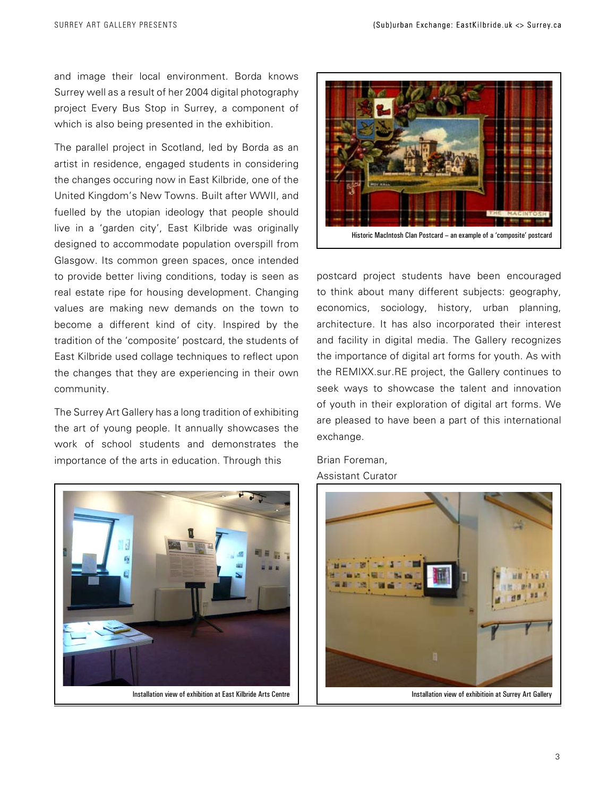and image their local environment. Borda knows Surrey well as a result of her 2004 digital photography project Every Bus Stop in Surrey, a component of which is also being presented in the exhibition.

The parallel project in Scotland, led by Borda as an artist in residence, engaged students in considering the changes occuring now in East Kilbride, one of the United Kingdom's New Towns. Built after WWII, and fuelled by the utopian ideology that people should live in a 'garden city', East Kilbride was originally designed to accommodate population overspill from Glasgow. Its common green spaces, once intended to provide better living conditions, today is seen as real estate ripe for housing development. Changing values are making new demands on the town to become a different kind of city. Inspired by the tradition of the 'composite' postcard, the students of East Kilbride used collage techniques to reflect upon the changes that they are experiencing in their own community.

The Surrey Art Gallery has a long tradition of exhibiting the art of young people. It annually showcases the work of school students and demonstrates the importance of the arts in education. Through this





postcard project students have been encouraged to think about many different subjects: geography, economics, sociology, history, urban planning, architecture. It has also incorporated their interest and facility in digital media. The Gallery recognizes the importance of digital art forms for youth. As with the REMIXX.sur.RE project, the Gallery continues to seek ways to showcase the talent and innovation of youth in their exploration of digital art forms. We are pleased to have been a part of this international exchange.

Brian Foreman, Assistant Curator

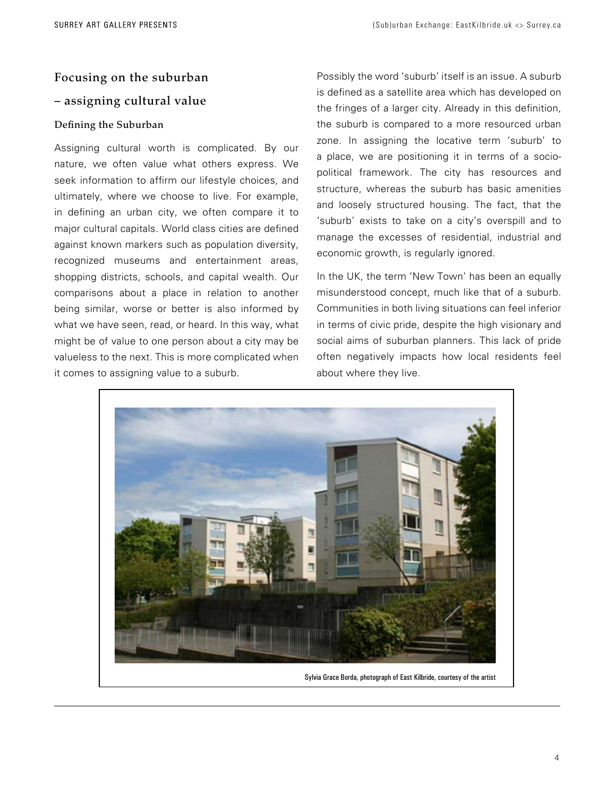# Focusing on the suburban – assigning cultural value

# Defining the Suburban

Assigning cultural worth is complicated. By our nature, we often value what others express. We seek information to affirm our lifestyle choices, and ultimately, where we choose to live. For example, in defining an urban city, we often compare it to major cultural capitals. World class cities are defined against known markers such as population diversity, recognized museums and entertainment areas, shopping districts, schools, and capital wealth. Our comparisons about a place in relation to another being similar, worse or better is also informed by what we have seen, read, or heard. In this way, what might be of value to one person about a city may be valueless to the next. This is more complicated when it comes to assigning value to a suburb.

Possibly the word 'suburb' itself is an issue. A suburb is defined as a satellite area which has developed on the fringes of a larger city. Already in this definition, the suburb is compared to a more resourced urban zone. In assigning the locative term 'suburb' to a place, we are positioning it in terms of a sociopolitical framework. The city has resources and structure, whereas the suburb has basic amenities and loosely structured housing. The fact, that the 'suburb' exists to take on a city's overspill and to manage the excesses of residential, industrial and economic growth, is regularly ignored.

In the UK, the term 'New Town' has been an equally misunderstood concept, much like that of a suburb. Communities in both living situations can feel inferior in terms of civic pride, despite the high visionary and social aims of suburban planners. This lack of pride often negatively impacts how local residents feel about where they live.



Sylvia Grace Borda, photograph of East Kilbride, courtesy of the artist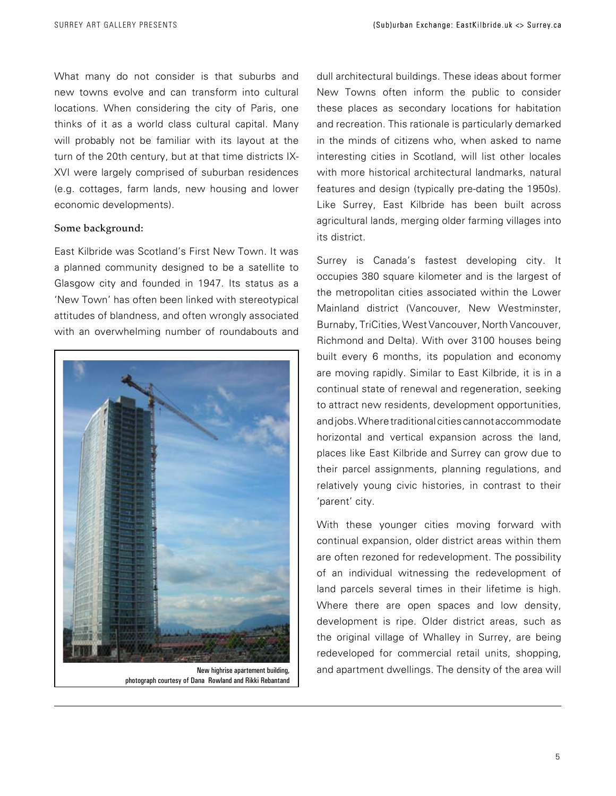What many do not consider is that suburbs and new towns evolve and can transform into cultural locations. When considering the city of Paris, one thinks of it as a world class cultural capital. Many will probably not be familiar with its layout at the turn of the 20th century, but at that time districts IX-XVI were largely comprised of suburban residences (e.g. cottages, farm lands, new housing and lower economic developments).

#### Some background:

East Kilbride was Scotland's First New Town. It was a planned community designed to be a satellite to Glasgow city and founded in 1947. Its status as a 'New Town' has often been linked with stereotypical attitudes of blandness, and often wrongly associated with an overwhelming number of roundabouts and



New highrise apartement building, photograph courtesy of Dana Rowland and Rikki Rebantand

dull architectural buildings. These ideas about former New Towns often inform the public to consider these places as secondary locations for habitation and recreation. This rationale is particularly demarked in the minds of citizens who, when asked to name interesting cities in Scotland, will list other locales with more historical architectural landmarks, natural features and design (typically pre-dating the 1950s). Like Surrey, East Kilbride has been built across agricultural lands, merging older farming villages into its district.

Surrey is Canada's fastest developing city. It occupies 380 square kilometer and is the largest of the metropolitan cities associated within the Lower Mainland district (Vancouver, New Westminster, Burnaby, TriCities, West Vancouver, North Vancouver, Richmond and Delta). With over 3100 houses being built every 6 months, its population and economy are moving rapidly. Similar to East Kilbride, it is in a continual state of renewal and regeneration, seeking to attract new residents, development opportunities, and jobs. Where traditional cities cannot accommodate horizontal and vertical expansion across the land, places like East Kilbride and Surrey can grow due to their parcel assignments, planning regulations, and relatively young civic histories, in contrast to their 'parent' city.

With these younger cities moving forward with continual expansion, older district areas within them are often rezoned for redevelopment. The possibility of an individual witnessing the redevelopment of land parcels several times in their lifetime is high. Where there are open spaces and low density, development is ripe. Older district areas, such as the original village of Whalley in Surrey, are being redeveloped for commercial retail units, shopping, and apartment dwellings. The density of the area will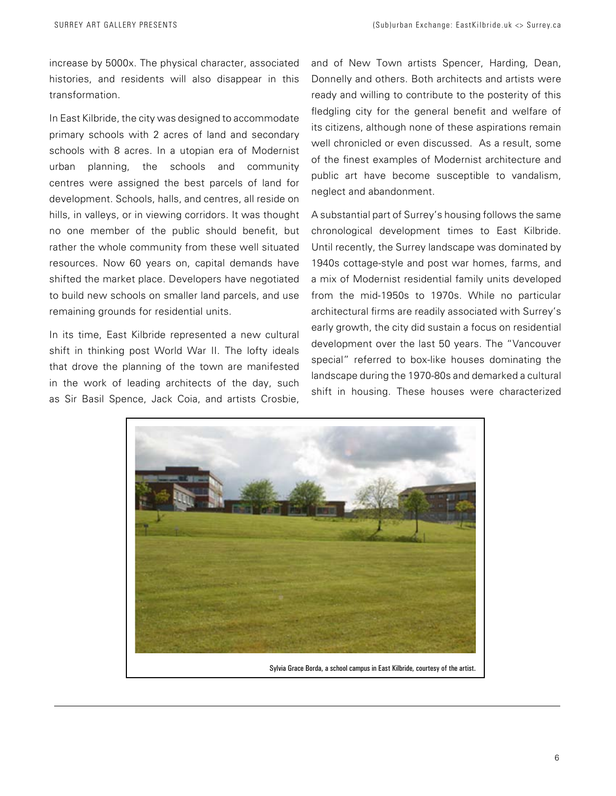increase by 5000x. The physical character, associated histories, and residents will also disappear in this transformation.

In East Kilbride, the city was designed to accommodate primary schools with 2 acres of land and secondary schools with 8 acres. In a utopian era of Modernist urban planning, the schools and community centres were assigned the best parcels of land for development. Schools, halls, and centres, all reside on hills, in valleys, or in viewing corridors. It was thought no one member of the public should benefit, but rather the whole community from these well situated resources. Now 60 years on, capital demands have shifted the market place. Developers have negotiated to build new schools on smaller land parcels, and use remaining grounds for residential units.

In its time, East Kilbride represented a new cultural shift in thinking post World War II. The lofty ideals that drove the planning of the town are manifested in the work of leading architects of the day, such as Sir Basil Spence, Jack Coia, and artists Crosbie,

and of New Town artists Spencer, Harding, Dean, Donnelly and others. Both architects and artists were ready and willing to contribute to the posterity of this fledgling city for the general benefit and welfare of its citizens, although none of these aspirations remain well chronicled or even discussed. As a result, some of the finest examples of Modernist architecture and public art have become susceptible to vandalism, neglect and abandonment.

A substantial part of Surrey's housing follows the same chronological development times to East Kilbride. Until recently, the Surrey landscape was dominated by 1940s cottage-style and post war homes, farms, and a mix of Modernist residential family units developed from the mid-1950s to 1970s. While no particular architectural firms are readily associated with Surrey's early growth, the city did sustain a focus on residential development over the last 50 years. The "Vancouver special" referred to box-like houses dominating the landscape during the 1970-80s and demarked a cultural shift in housing. These houses were characterized

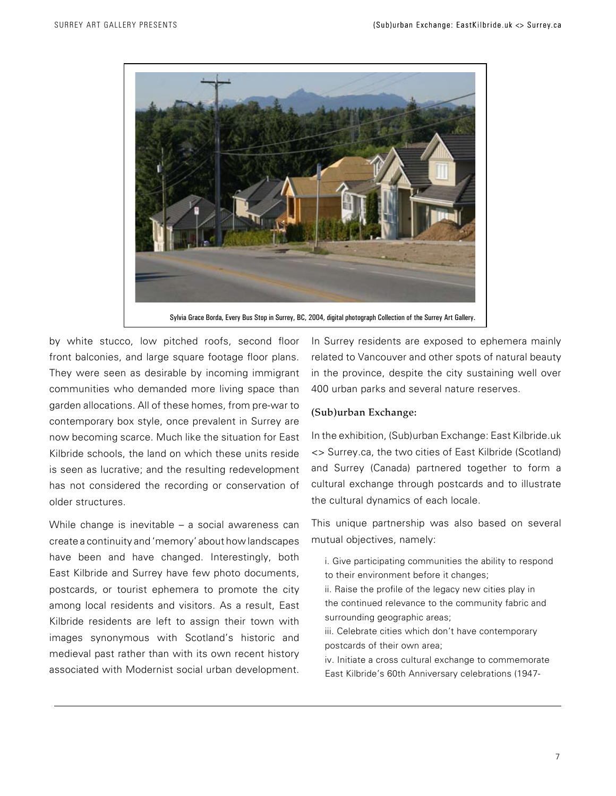

by white stucco, low pitched roofs, second floor front balconies, and large square footage floor plans. They were seen as desirable by incoming immigrant communities who demanded more living space than garden allocations. All of these homes, from pre-war to contemporary box style, once prevalent in Surrey are now becoming scarce. Much like the situation for East Kilbride schools, the land on which these units reside is seen as lucrative; and the resulting redevelopment has not considered the recording or conservation of older structures.

While change is inevitable – a social awareness can create a continuity and 'memory' about how landscapes have been and have changed. Interestingly, both East Kilbride and Surrey have few photo documents, postcards, or tourist ephemera to promote the city among local residents and visitors. As a result, East Kilbride residents are left to assign their town with images synonymous with Scotland's historic and medieval past rather than with its own recent history associated with Modernist social urban development.

In Surrey residents are exposed to ephemera mainly related to Vancouver and other spots of natural beauty in the province, despite the city sustaining well over 400 urban parks and several nature reserves.

# (Sub)urban Exchange:

In the exhibition, (Sub)urban Exchange: East Kilbride.uk <> Surrey.ca, the two cities of East Kilbride (Scotland) and Surrey (Canada) partnered together to form a cultural exchange through postcards and to illustrate the cultural dynamics of each locale.

This unique partnership was also based on several mutual objectives, namely:

- i. Give participating communities the ability to respond to their environment before it changes;
- ii. Raise the profile of the legacy new cities play in the continued relevance to the community fabric and surrounding geographic areas;
- iii. Celebrate cities which don't have contemporary postcards of their own area;
- iv. Initiate a cross cultural exchange to commemorate East Kilbride's 60th Anniversary celebrations (1947-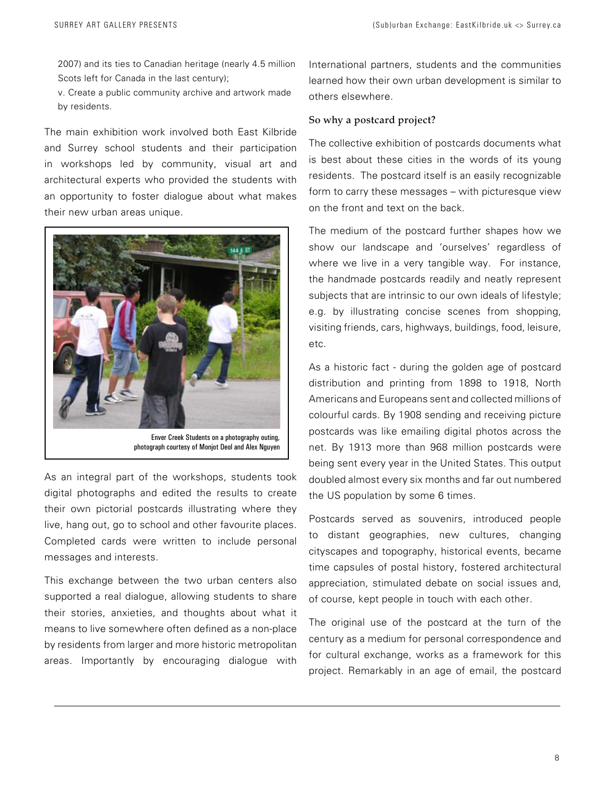2007) and its ties to Canadian heritage (nearly 4.5 million Scots left for Canada in the last century);

v. Create a public community archive and artwork made by residents.

The main exhibition work involved both East Kilbride and Surrey school students and their participation in workshops led by community, visual art and architectural experts who provided the students with an opportunity to foster dialogue about what makes their new urban areas unique.



photograph courtesy of Monjot Deol and Alex Nguyen

As an integral part of the workshops, students took digital photographs and edited the results to create their own pictorial postcards illustrating where they live, hang out, go to school and other favourite places. Completed cards were written to include personal messages and interests.

This exchange between the two urban centers also supported a real dialogue, allowing students to share their stories, anxieties, and thoughts about what it means to live somewhere often defined as a non-place by residents from larger and more historic metropolitan areas. Importantly by encouraging dialogue with

International partners, students and the communities learned how their own urban development is similar to others elsewhere.

# So why a postcard project?

The collective exhibition of postcards documents what is best about these cities in the words of its young residents. The postcard itself is an easily recognizable form to carry these messages – with picturesque view on the front and text on the back.

The medium of the postcard further shapes how we show our landscape and 'ourselves' regardless of where we live in a very tangible way. For instance, the handmade postcards readily and neatly represent subjects that are intrinsic to our own ideals of lifestyle; e.g. by illustrating concise scenes from shopping, visiting friends, cars, highways, buildings, food, leisure, etc.

As a historic fact - during the golden age of postcard distribution and printing from 1898 to 1918, North Americans and Europeans sent and collected millions of colourful cards. By 1908 sending and receiving picture postcards was like emailing digital photos across the net. By 1913 more than 968 million postcards were being sent every year in the United States. This output doubled almost every six months and far out numbered the US population by some 6 times.

Postcards served as souvenirs, introduced people to distant geographies, new cultures, changing cityscapes and topography, historical events, became time capsules of postal history, fostered architectural appreciation, stimulated debate on social issues and, of course, kept people in touch with each other.

The original use of the postcard at the turn of the century as a medium for personal correspondence and for cultural exchange, works as a framework for this project. Remarkably in an age of email, the postcard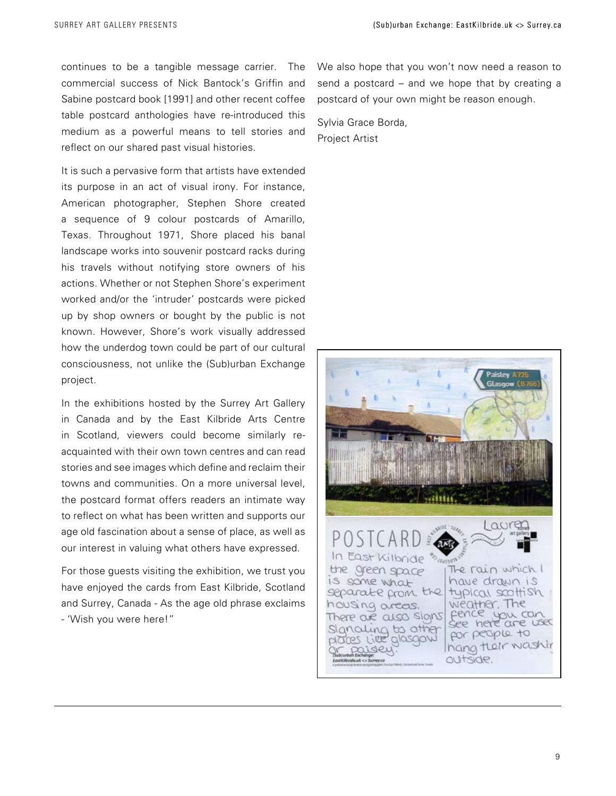continues to be a tangible message carrier. The commercial success of Nick Bantock's Griffin and Sabine postcard book [1991] and other recent coffee table postcard anthologies have re-introduced this medium as a powerful means to tell stories and reflect on our shared past visual histories.

It is such a pervasive form that artists have extended its purpose in an act of visual irony. For instance, American photographer, Stephen Shore created a sequence of 9 colour postcards of Amarillo, Texas. Throughout 1971, Shore placed his banal landscape works into souvenir postcard racks during his travels without notifying store owners of his actions. Whether or not Stephen Shore's experiment worked and/or the 'intruder' postcards were picked up by shop owners or bought by the public is not known. However, Shore's work visually addressed how the underdog town could be part of our cultural consciousness, not unlike the (Sub)urban Exchange project.

In the exhibitions hosted by the Surrey Art Gallery in Canada and by the East Kilbride Arts Centre in Scotland, viewers could become similarly reacquainted with their own town centres and can read stories and see images which define and reclaim their towns and communities. On a more universal level, the postcard format offers readers an intimate way to reflect on what has been written and supports our age old fascination about a sense of place, as well as our interest in valuing what others have expressed.

For those guests visiting the exhibition, we trust you have enjoyed the cards from East Kilbride, Scotland and Surrey, Canada - As the age old phrase exclaims - 'Wish you were here!"

We also hope that you won't now need a reason to send a postcard – and we hope that by creating a postcard of your own might be reason enough.

Sylvia Grace Borda, Project Artist

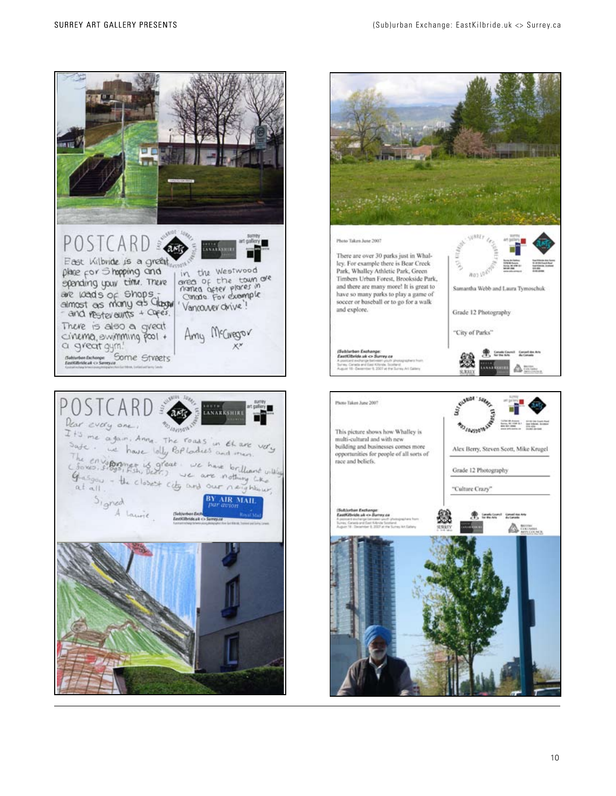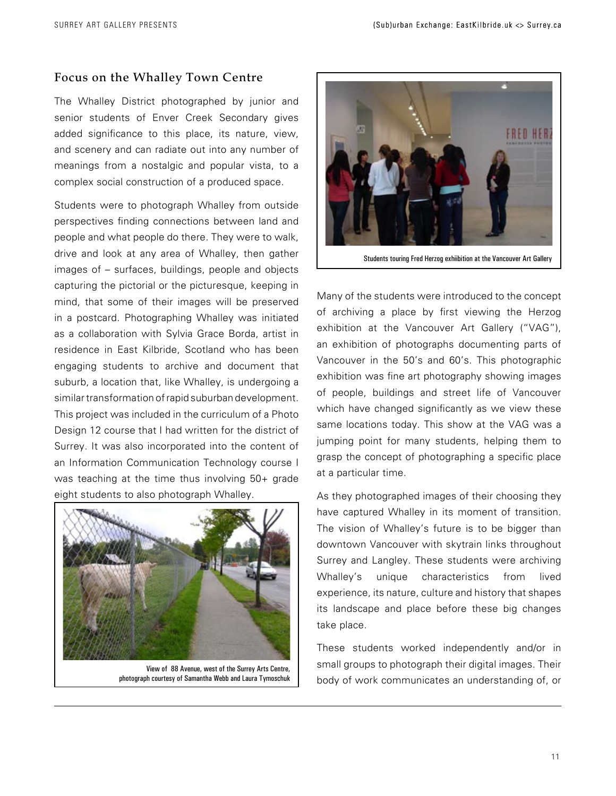# Focus on the Whalley Town Centre

The Whalley District photographed by junior and senior students of Enver Creek Secondary gives added significance to this place, its nature, view, and scenery and can radiate out into any number of meanings from a nostalgic and popular vista, to a complex social construction of a produced space.

Students were to photograph Whalley from outside perspectives finding connections between land and people and what people do there. They were to walk, drive and look at any area of Whalley, then gather images of – surfaces, buildings, people and objects capturing the pictorial or the picturesque, keeping in mind, that some of their images will be preserved in a postcard. Photographing Whalley was initiated as a collaboration with Sylvia Grace Borda, artist in residence in East Kilbride, Scotland who has been engaging students to archive and document that suburb, a location that, like Whalley, is undergoing a similar transformation of rapid suburban development. This project was included in the curriculum of a Photo Design 12 course that I had written for the district of Surrey. It was also incorporated into the content of an Information Communication Technology course I was teaching at the time thus involving 50+ grade eight students to also photograph Whalley.



View of 88 Avenue, west of the Surrey Arts Centre, photograph courtesy of Samantha Webb and Laura Tymoschuk



Students touring Fred Herzog exhiibition at the Vancouver Art Gallery

Many of the students were introduced to the concept of archiving a place by first viewing the Herzog exhibition at the Vancouver Art Gallery ("VAG"), an exhibition of photographs documenting parts of Vancouver in the 50's and 60's. This photographic exhibition was fine art photography showing images of people, buildings and street life of Vancouver which have changed significantly as we view these same locations today. This show at the VAG was a jumping point for many students, helping them to grasp the concept of photographing a specific place at a particular time.

As they photographed images of their choosing they have captured Whalley in its moment of transition. The vision of Whalley's future is to be bigger than downtown Vancouver with skytrain links throughout Surrey and Langley. These students were archiving Whalley's unique characteristics from lived experience, its nature, culture and history that shapes its landscape and place before these big changes take place.

These students worked independently and/or in small groups to photograph their digital images. Their body of work communicates an understanding of, or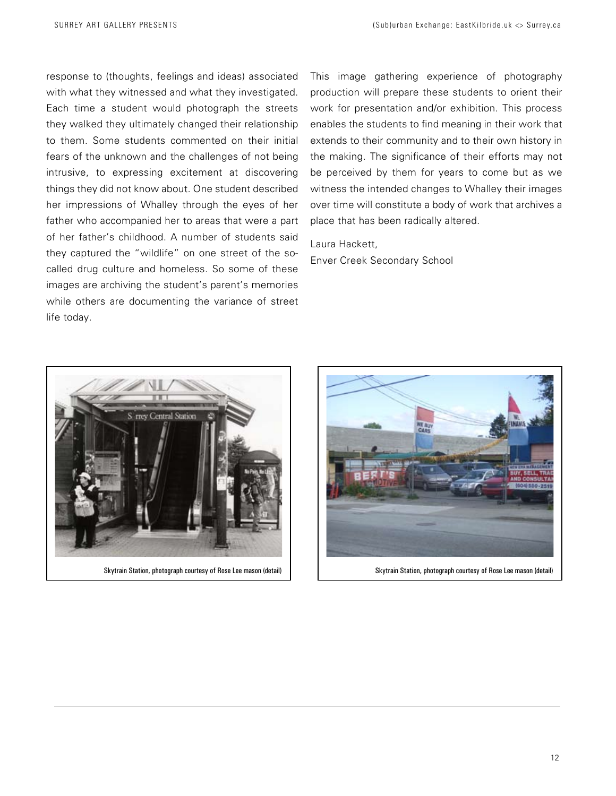response to (thoughts, feelings and ideas) associated with what they witnessed and what they investigated. Each time a student would photograph the streets they walked they ultimately changed their relationship to them. Some students commented on their initial fears of the unknown and the challenges of not being intrusive, to expressing excitement at discovering things they did not know about. One student described her impressions of Whalley through the eyes of her father who accompanied her to areas that were a part of her father's childhood. A number of students said they captured the "wildlife" on one street of the socalled drug culture and homeless. So some of these images are archiving the student's parent's memories while others are documenting the variance of street life today.

This image gathering experience of photography production will prepare these students to orient their work for presentation and/or exhibition. This process enables the students to find meaning in their work that extends to their community and to their own history in the making. The significance of their efforts may not be perceived by them for years to come but as we witness the intended changes to Whalley their images over time will constitute a body of work that archives a place that has been radically altered.

Laura Hackett, Enver Creek Secondary School